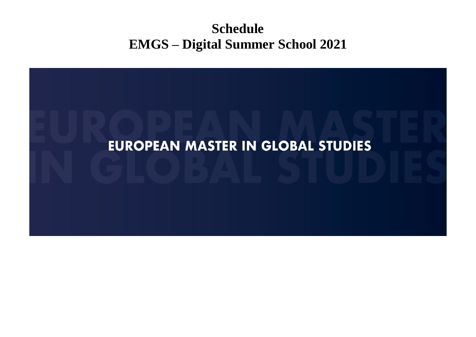## **Schedule EMGS – Digital Summer School 2021**

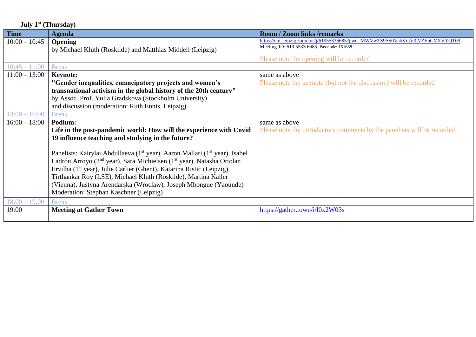| July $1st$ (Thursday) |                                                                                                     |                                                                                                                               |
|-----------------------|-----------------------------------------------------------------------------------------------------|-------------------------------------------------------------------------------------------------------------------------------|
| <b>Time</b>           | <b>Agenda</b>                                                                                       | <b>Room / Zoom links /remarks</b>                                                                                             |
| $10:00 - 10:45$       | <b>Opening</b>                                                                                      | https://uni-leipzig.zoom.us/j/61955336685?pwd=MWVwTS9SS0VabVdjV3lVZEhGVXVYQT09<br>Meeting-ID: 619 5533 6685, Passcode: 151688 |
|                       | by Michael Kluth (Roskilde) and Matthias Middell (Leipzig)                                          |                                                                                                                               |
|                       |                                                                                                     | Please note the opening will be recorded                                                                                      |
| $10:45 - 11:00$       | <b>Break</b>                                                                                        |                                                                                                                               |
| $11:00 - 13:00$       | <b>Keynote:</b>                                                                                     | same as above                                                                                                                 |
|                       | "Gender inequalities, emancipatory projects and women's                                             | Please note the keynote (but not the discussion) will be recorded                                                             |
|                       | transnational activism in the global history of the 20th century"                                   |                                                                                                                               |
|                       | by Assoc. Prof. Yulia Gradskova (Stockholm University)                                              |                                                                                                                               |
|                       | and discussion (moderation: Ruth Ennis, Leipzig)                                                    |                                                                                                                               |
| $13:00 - 16:00$       | <b>Break</b>                                                                                        |                                                                                                                               |
| $16:00 - 18:00$       | Podium:                                                                                             | same as above                                                                                                                 |
|                       | Life in the post-pandemic world: How will the experience with Covid                                 | Please note the introductory comments by the panelists will be recorded                                                       |
|                       | 19 influence teaching and studying in the future?                                                   |                                                                                                                               |
|                       |                                                                                                     |                                                                                                                               |
|                       | Panelists: Kairylai Abdullaeva (1 <sup>st</sup> year), Aaron Mallari (1 <sup>st</sup> year), Isabel |                                                                                                                               |
|                       | Ladrón Arroyo (2 <sup>nd</sup> year), Sara Michielsen (1 <sup>st</sup> year), Natasha Ortolan       |                                                                                                                               |
|                       | Ervilha (1 <sup>st</sup> year), Julie Carlier (Ghent), Katarina Ristic (Leipzig),                   |                                                                                                                               |
|                       | Tirthankar Roy (LSE), Michael Kluth (Roskilde), Martina Kaller                                      |                                                                                                                               |
|                       | (Vienna), Justyna Arendarska (Wroclaw), Joseph Mbongue (Yaounde)                                    |                                                                                                                               |
|                       | Moderation: Stephan Kaschner (Leipzig)                                                              |                                                                                                                               |
| $18:00 - 19:00$       | <b>Break</b>                                                                                        |                                                                                                                               |
| 19:00                 | <b>Meeting at Gather Town</b>                                                                       | https://gather.town/i/l0x2W03s                                                                                                |
|                       |                                                                                                     |                                                                                                                               |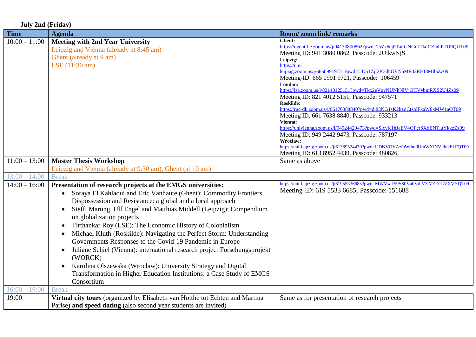|  |  | <b>July 2nd (Friday)</b> |  |
|--|--|--------------------------|--|
|--|--|--------------------------|--|

| <b>Time</b>     | <b>Agenda</b>                                                                                                                                                                                                                                                                                                                                                                                                                                                                                                                                                                                                                                                                                                                                                                                 | Room/zoom link/remarks                                                                                                                                                                                                                                                                                                                                                                                                                                                                                                                                                                                                                                                                                                                                                                                       |
|-----------------|-----------------------------------------------------------------------------------------------------------------------------------------------------------------------------------------------------------------------------------------------------------------------------------------------------------------------------------------------------------------------------------------------------------------------------------------------------------------------------------------------------------------------------------------------------------------------------------------------------------------------------------------------------------------------------------------------------------------------------------------------------------------------------------------------|--------------------------------------------------------------------------------------------------------------------------------------------------------------------------------------------------------------------------------------------------------------------------------------------------------------------------------------------------------------------------------------------------------------------------------------------------------------------------------------------------------------------------------------------------------------------------------------------------------------------------------------------------------------------------------------------------------------------------------------------------------------------------------------------------------------|
| $10:00 - 11:00$ | <b>Meeting with 2nd Year University</b><br>Leipzig and Vienna (already at 8:45 am)<br>Ghent (already at 9 am)<br>LSE (11:30 am)                                                                                                                                                                                                                                                                                                                                                                                                                                                                                                                                                                                                                                                               | Ghent:<br>https://ugent-be.zoom.us/j/94130800862?pwd=TWx6cjFTaitGNGdJTkdCZmhFTU9QUT09<br>Meeting ID: 941 3080 0862, Passcode: 2UikwNjS<br>Leipzig:<br>https://uni-<br>leipzig.zoom.us/j/66509919721?pwd=UU51ZjI2K2dhOVNaME42RHI3Ml15Zz09<br>Meeting-ID: 665 0991 9721, Passcode: 106459<br>London:<br>https://lse.zoom.us/j/82140125151?pwd=Tkx2eVpyNUNhNIVjOHVybmRXS2U4Zz09<br>Meeting ID: 821 4012 5151, Passcode: 947571<br>Roskilde:<br>https://ruc-dk.zoom.us/j/66176388840?pwd=di83NG1sK2k1dCtzblFkaW8xMW1aQT09<br>Meeting ID: 661 7638 8840, Passcode: 933213<br>Vienna:<br>https://univienna.zoom.us/j/94924429473?pwd=SlcyK1hJaEV4OFcrSXdENTluYkkzZz09<br>Meeting ID: 949 2442 9473, Passcode: 787197<br>Wroclaw:<br>https://uni-leipzig.zoom.us/j/61389524439?pwd=UDNVOVAzOWdmdUtnWXlNVjdneE1FQT09 |
|                 |                                                                                                                                                                                                                                                                                                                                                                                                                                                                                                                                                                                                                                                                                                                                                                                               | Meeting ID: 613 8952 4439, Passcode: 480826                                                                                                                                                                                                                                                                                                                                                                                                                                                                                                                                                                                                                                                                                                                                                                  |
| $11:00 - 13:00$ | <b>Master Thesis Workshop</b><br>Leipzig and Vienna (already at 9:30 am), Ghent (at 10 am)                                                                                                                                                                                                                                                                                                                                                                                                                                                                                                                                                                                                                                                                                                    | Same as above                                                                                                                                                                                                                                                                                                                                                                                                                                                                                                                                                                                                                                                                                                                                                                                                |
| $13:00 - 14:00$ | <b>Break</b>                                                                                                                                                                                                                                                                                                                                                                                                                                                                                                                                                                                                                                                                                                                                                                                  |                                                                                                                                                                                                                                                                                                                                                                                                                                                                                                                                                                                                                                                                                                                                                                                                              |
| $14:00 - 16:00$ | Presentation of research projects at the EMGS universities:<br>Soraya El Kahlaoui and Eric Vanhaute (Ghent): Commodity Frontiers,<br>$\bullet$<br>Dispossession and Resistance: a global and a local approach<br>Steffi Marung, Ulf Engel and Matthias Middell (Leipzig): Compendium<br>on globalization projects<br>Tirthankar Roy (LSE): The Economic History of Colonialism<br>Michael Kluth (Roskilde): Navigating the Perfect Storm: Understanding<br>Governments Responses to the Covid-19 Pandemic in Europe<br>Juliane Schiel (Vienna): international research project Forschungsprojekt<br>$\bullet$<br>(WORCK)<br>Karolina Olszewska (Wroclaw): University Strategy and Digital<br>$\bullet$<br>Transformation in Higher Education Institutions: a Case Study of EMGS<br>Consortium | https://uni-leipzig.zoom.us/j/61955336685?pwd=MWVwTS9SS0VabVdjV3lVZEhGVXVYQT09<br>Meeting-ID: 619 5533 6685, Passcode: 151688                                                                                                                                                                                                                                                                                                                                                                                                                                                                                                                                                                                                                                                                                |
| $16:00 - 19:00$ | <b>Break</b>                                                                                                                                                                                                                                                                                                                                                                                                                                                                                                                                                                                                                                                                                                                                                                                  |                                                                                                                                                                                                                                                                                                                                                                                                                                                                                                                                                                                                                                                                                                                                                                                                              |
| 19:00           | Virtual city tours (organized by Elisabeth van Holthe tot Echten and Martina<br>Parise) and speed dating (also second year students are invited)                                                                                                                                                                                                                                                                                                                                                                                                                                                                                                                                                                                                                                              | Same as for presentation of research projects                                                                                                                                                                                                                                                                                                                                                                                                                                                                                                                                                                                                                                                                                                                                                                |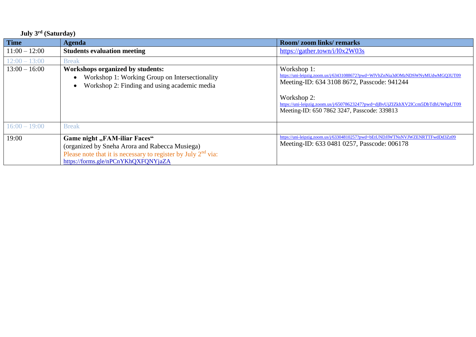## **July 3 rd (Saturday)**

| <b>Time</b>     | <b>Agenda</b>                                                                                                                                                                            | <b>Room/zoom links/remarks</b>                                                                                                                                                                                                                                                               |
|-----------------|------------------------------------------------------------------------------------------------------------------------------------------------------------------------------------------|----------------------------------------------------------------------------------------------------------------------------------------------------------------------------------------------------------------------------------------------------------------------------------------------|
| $11:00 - 12:00$ | <b>Students evaluation meeting</b>                                                                                                                                                       | https://gather.town/i/l0x2W03s                                                                                                                                                                                                                                                               |
| $12:00 - 13:00$ | <b>Break</b>                                                                                                                                                                             |                                                                                                                                                                                                                                                                                              |
| $13:00 - 16:00$ | Workshops organized by students:<br>Workshop 1: Working Group on Intersectionality<br>$\bullet$<br>Workshop 2: Finding and using academic media<br>$\bullet$                             | Workshop 1:<br>https://uni-leipzig.zoom.us/j/63431088672?pwd=WIVhZnNia3dOMzNDSWNyMUdwMGQ3UT09<br>Meeting-ID: 634 3108 8672, Passcode: 941244<br>Workshop 2:<br>https://uni-leipzig.zoom.us/j/65078623247?pwd=djBvUjZIZkhXV2lCcm5DbTdhUWhpUT09<br>Meeting-ID: 650 7862 3247, Passcode: 339813 |
| $16:00 - 19:00$ | <b>Break</b>                                                                                                                                                                             |                                                                                                                                                                                                                                                                                              |
| 19:00           | Game night "FAM-iliar Faces"<br>(organized by Sneha Arora and Rabecca Musiega)<br>Please note that it is necessary to register by July $2nd$ via:<br>https://forms.gle/nPCnYKhQXFQNYjaZA | https://uni-leipzig.zoom.us/j/63304810257?pwd=bEtUNDJIWTNsNVJWZENRTTFwdDd3Zz09<br>Meeting-ID: 633 0481 0257, Passcode: 006178                                                                                                                                                                |